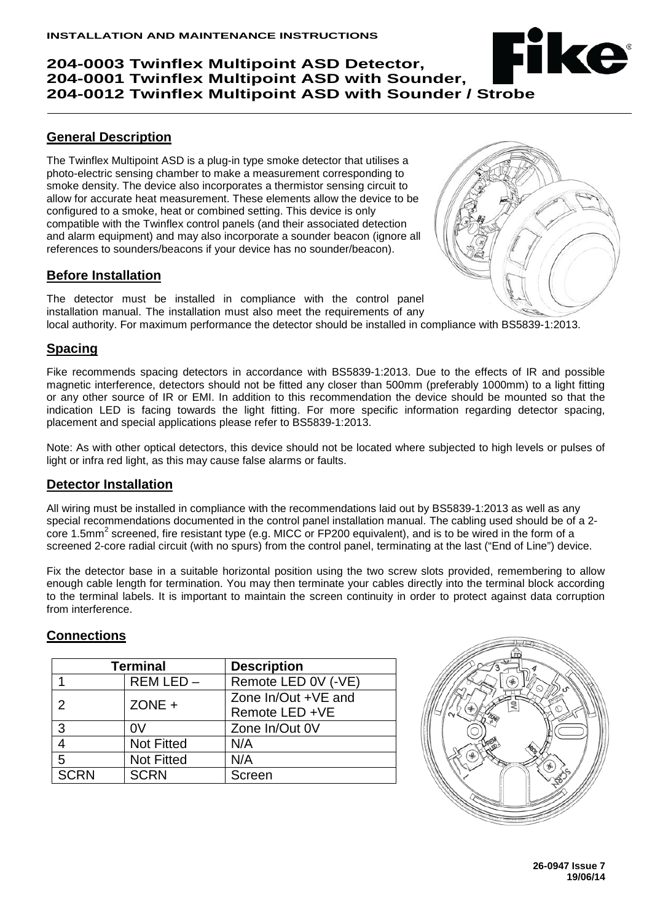# **204-0003 Twinflex Multipoint ASD Detector, 204-0001 Twinflex Multipoint ASD with Sounder, 204-0012 Twinflex Multipoint ASD with Sounder / Strobe**

### **General Description**

The Twinflex Multipoint ASD is a plug-in type smoke detector that utilises a photo-electric sensing chamber to make a measurement corresponding to smoke density. The device also incorporates a thermistor sensing circuit to allow for accurate heat measurement. These elements allow the device to be configured to a smoke, heat or combined setting. This device is only compatible with the Twinflex control panels (and their associated detection and alarm equipment) and may also incorporate a sounder beacon (ignore all references to sounders/beacons if your device has no sounder/beacon).

#### **Before Installation**

The detector must be installed in compliance with the control panel installation manual. The installation must also meet the requirements of any local authority. For maximum performance the detector should be installed in compliance with BS5839-1:2013.

#### **Spacing**

Fike recommends spacing detectors in accordance with BS5839-1:2013. Due to the effects of IR and possible magnetic interference, detectors should not be fitted any closer than 500mm (preferably 1000mm) to a light fitting or any other source of IR or EMI. In addition to this recommendation the device should be mounted so that the indication LED is facing towards the light fitting. For more specific information regarding detector spacing, placement and special applications please refer to BS5839-1:2013.

Note: As with other optical detectors, this device should not be located where subjected to high levels or pulses of light or infra red light, as this may cause false alarms or faults.

#### **Detector Installation**

All wiring must be installed in compliance with the recommendations laid out by BS5839-1:2013 as well as any special recommendations documented in the control panel installation manual. The cabling used should be of a 2 core 1.5mm<sup>2</sup> screened, fire resistant type (e.g. MICC or FP200 equivalent), and is to be wired in the form of a screened 2-core radial circuit (with no spurs) from the control panel, terminating at the last ("End of Line") device.

Fix the detector base in a suitable horizontal position using the two screw slots provided, remembering to allow enough cable length for termination. You may then terminate your cables directly into the terminal block according to the terminal labels. It is important to maintain the screen continuity in order to protect against data corruption from interference.

#### **Connections**

| <b>Terminal</b> |                   | <b>Description</b>  |  |  |
|-----------------|-------------------|---------------------|--|--|
|                 | $REM LED -$       | Remote LED 0V (-VE) |  |  |
| 2               | $ZONE +$          | Zone In/Out +VE and |  |  |
|                 |                   | Remote LED +VE      |  |  |
| 3               | 0 <sup>V</sup>    | Zone In/Out 0V      |  |  |
| 4               | <b>Not Fitted</b> | N/A                 |  |  |
| 5               | <b>Not Fitted</b> | N/A                 |  |  |
| <b>SCRN</b>     | <b>SCRN</b>       | Screen              |  |  |





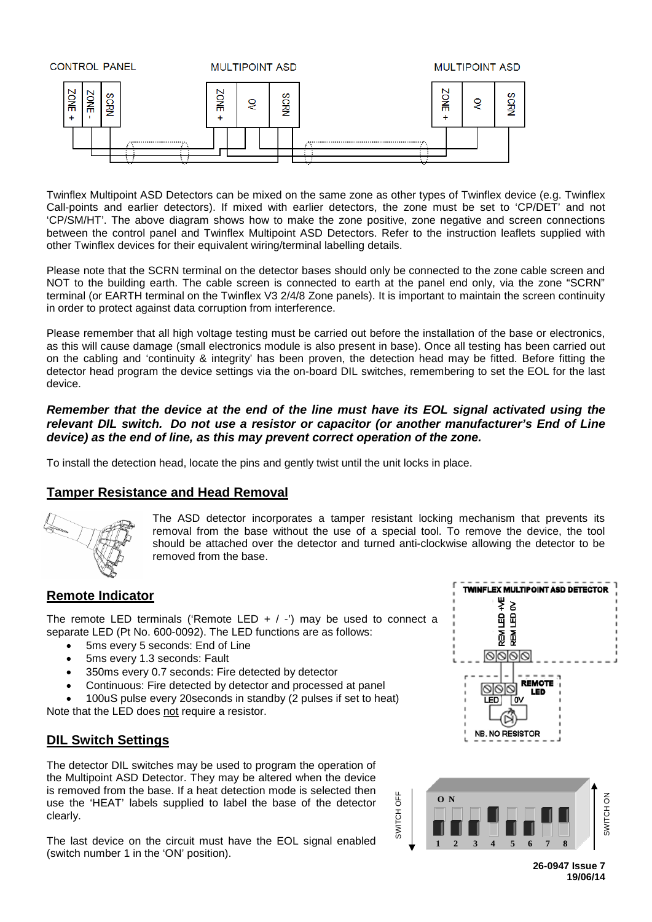

Twinflex Multipoint ASD Detectors can be mixed on the same zone as other types of Twinflex device (e.g. Twinflex Call-points and earlier detectors). If mixed with earlier detectors, the zone must be set to 'CP/DET' and not 'CP/SM/HT'. The above diagram shows how to make the zone positive, zone negative and screen connections between the control panel and Twinflex Multipoint ASD Detectors. Refer to the instruction leaflets supplied with other Twinflex devices for their equivalent wiring/terminal labelling details.

Please note that the SCRN terminal on the detector bases should only be connected to the zone cable screen and NOT to the building earth. The cable screen is connected to earth at the panel end only, via the zone "SCRN" terminal (or EARTH terminal on the Twinflex V3 2/4/8 Zone panels). It is important to maintain the screen continuity in order to protect against data corruption from interference.

Please remember that all high voltage testing must be carried out before the installation of the base or electronics, as this will cause damage (small electronics module is also present in base). Once all testing has been carried out on the cabling and 'continuity & integrity' has been proven, the detection head may be fitted. Before fitting the detector head program the device settings via the on-board DIL switches, remembering to set the EOL for the last device.

#### *Remember that the device at the end of the line must have its EOL signal activated using the relevant DIL switch. Do not use a resistor or capacitor (or another manufacturer's End of Line device) as the end of line, as this may prevent correct operation of the zone.*

To install the detection head, locate the pins and gently twist until the unit locks in place.

## **Tamper Resistance and Head Removal**



The ASD detector incorporates a tamper resistant locking mechanism that prevents its removal from the base without the use of a special tool. To remove the device, the tool should be attached over the detector and turned anti-clockwise allowing the detector to be removed from the base.

SWITCH OFF

SWITCH OFF

## **Remote Indicator**

The remote LED terminals ('Remote LED  $+$  / -') may be used to connect a separate LED (Pt No. 600-0092). The LED functions are as follows:

- 5ms every 5 seconds: End of Line
- 5ms every 1.3 seconds: Fault
- 350ms every 0.7 seconds: Fire detected by detector
- Continuous: Fire detected by detector and processed at panel

• 100uS pulse every 20seconds in standby (2 pulses if set to heat) Note that the LED does not require a resistor.

#### **DIL Switch Settings**

The detector DIL switches may be used to program the operation of the Multipoint ASD Detector. They may be altered when the device is removed from the base. If a heat detection mode is selected then use the 'HEAT' labels supplied to label the base of the detector clearly.

The last device on the circuit must have the EOL signal enabled (switch number 1 in the 'ON' position).



**26-0947 Issue 7 19/06/14**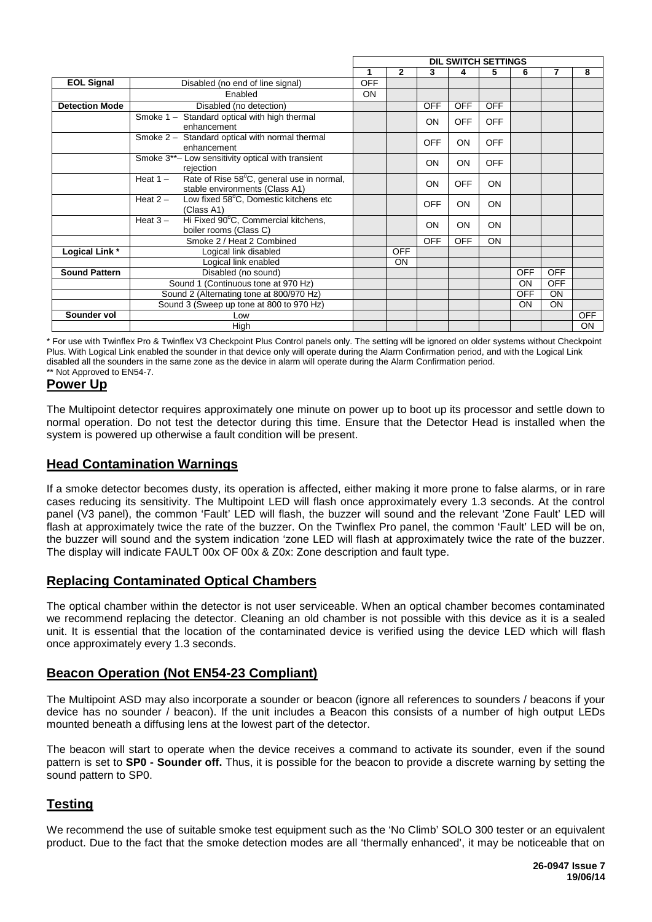|                                          |                                                                                           | <b>DIL SWITCH SETTINGS</b> |              |            |            |            |            |            |            |
|------------------------------------------|-------------------------------------------------------------------------------------------|----------------------------|--------------|------------|------------|------------|------------|------------|------------|
|                                          |                                                                                           |                            | $\mathbf{2}$ | 3          | 4          | 5.         | 6          |            | 8          |
| <b>EOL Signal</b>                        | Disabled (no end of line signal)                                                          | <b>OFF</b>                 |              |            |            |            |            |            |            |
|                                          | Enabled                                                                                   | <b>ON</b>                  |              |            |            |            |            |            |            |
| <b>Detection Mode</b>                    | Disabled (no detection)                                                                   |                            |              | <b>OFF</b> | <b>OFF</b> | <b>OFF</b> |            |            |            |
|                                          | Smoke 1 - Standard optical with high thermal<br>enhancement                               |                            |              | <b>ON</b>  | <b>OFF</b> | <b>OFF</b> |            |            |            |
|                                          | Smoke 2 - Standard optical with normal thermal<br>enhancement                             |                            |              | <b>OFF</b> | <b>ON</b>  | <b>OFF</b> |            |            |            |
|                                          | Smoke 3**- Low sensitivity optical with transient<br>rejection                            |                            |              | <b>ON</b>  | ON         | <b>OFF</b> |            |            |            |
|                                          | Rate of Rise 58°C, general use in normal,<br>Heat $1 -$<br>stable environments (Class A1) |                            |              | <b>ON</b>  | <b>OFF</b> | <b>ON</b>  |            |            |            |
|                                          | Low fixed 58°C, Domestic kitchens etc<br>Heat $2 -$<br>(Class A1)                         |                            |              | <b>OFF</b> | <b>ON</b>  | <b>ON</b>  |            |            |            |
|                                          | Hi Fixed 90°C, Commercial kitchens,<br>Heat $3 -$<br>boiler rooms (Class C)               |                            |              | <b>ON</b>  | <b>ON</b>  | <b>ON</b>  |            |            |            |
|                                          | Smoke 2 / Heat 2 Combined                                                                 |                            |              | <b>OFF</b> | <b>OFF</b> | ON         |            |            |            |
| Logical Link *                           | Logical link disabled                                                                     |                            | <b>OFF</b>   |            |            |            |            |            |            |
|                                          | Logical link enabled                                                                      |                            | ON           |            |            |            |            |            |            |
| <b>Sound Pattern</b>                     | Disabled (no sound)                                                                       |                            |              |            |            |            | <b>OFF</b> | <b>OFF</b> |            |
|                                          | Sound 1 (Continuous tone at 970 Hz)                                                       |                            |              |            |            |            | <b>ON</b>  | <b>OFF</b> |            |
|                                          | Sound 2 (Alternating tone at 800/970 Hz)                                                  |                            |              |            |            |            | <b>OFF</b> | <b>ON</b>  |            |
| Sound 3 (Sweep up tone at 800 to 970 Hz) |                                                                                           |                            |              |            |            |            | ON         | ON         |            |
| Sounder vol                              | Low                                                                                       |                            |              |            |            |            |            |            | <b>OFF</b> |
|                                          | High                                                                                      |                            |              |            |            |            |            |            | <b>ON</b>  |

\* For use with Twinflex Pro & Twinflex V3 Checkpoint Plus Control panels only. The setting will be ignored on older systems without Checkpoint Plus. With Logical Link enabled the sounder in that device only will operate during the Alarm Confirmation period, and with the Logical Link disabled all the sounders in the same zone as the device in alarm will operate during the Alarm Confirmation period. \*\* Not Approved to EN54-7.

## **Power Up**

The Multipoint detector requires approximately one minute on power up to boot up its processor and settle down to normal operation. Do not test the detector during this time. Ensure that the Detector Head is installed when the system is powered up otherwise a fault condition will be present.

## **Head Contamination Warnings**

If a smoke detector becomes dusty, its operation is affected, either making it more prone to false alarms, or in rare cases reducing its sensitivity. The Multipoint LED will flash once approximately every 1.3 seconds. At the control panel (V3 panel), the common 'Fault' LED will flash, the buzzer will sound and the relevant 'Zone Fault' LED will flash at approximately twice the rate of the buzzer. On the Twinflex Pro panel, the common 'Fault' LED will be on, the buzzer will sound and the system indication 'zone LED will flash at approximately twice the rate of the buzzer. The display will indicate FAULT 00x OF 00x & Z0x: Zone description and fault type.

## **Replacing Contaminated Optical Chambers**

The optical chamber within the detector is not user serviceable. When an optical chamber becomes contaminated we recommend replacing the detector. Cleaning an old chamber is not possible with this device as it is a sealed unit. It is essential that the location of the contaminated device is verified using the device LED which will flash once approximately every 1.3 seconds.

## **Beacon Operation (Not EN54-23 Compliant)**

The Multipoint ASD may also incorporate a sounder or beacon (ignore all references to sounders / beacons if your device has no sounder / beacon). If the unit includes a Beacon this consists of a number of high output LEDs mounted beneath a diffusing lens at the lowest part of the detector.

The beacon will start to operate when the device receives a command to activate its sounder, even if the sound pattern is set to **SP0 - Sounder off.** Thus, it is possible for the beacon to provide a discrete warning by setting the sound pattern to SP0.

## **Testing**

We recommend the use of suitable smoke test equipment such as the 'No Climb' SOLO 300 tester or an equivalent product. Due to the fact that the smoke detection modes are all 'thermally enhanced', it may be noticeable that on